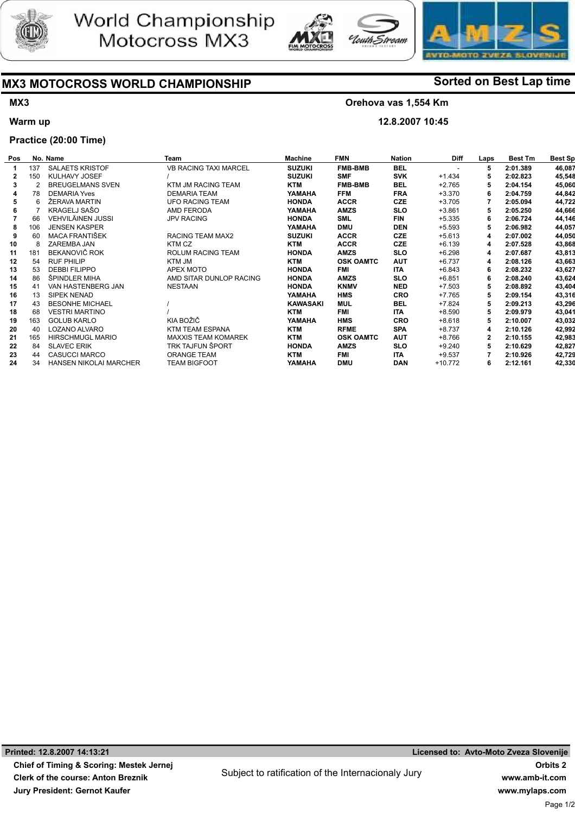





# MX3 MOTOCROSS WORLD CHAMPIONSHIP Sorted on Best Lap time

## MX3

Warm up

### Orehova vas 1,554 Km

Stroam

12.8.2007 10:45

## Practice (20:00 Time)

| Pos |               | No. Name                      | Team                         | <b>Machine</b>  | <b>FMN</b>       | <b>Nation</b> | <b>Diff</b> | Laps | <b>Best Tm</b> | <b>Best Sp</b> |
|-----|---------------|-------------------------------|------------------------------|-----------------|------------------|---------------|-------------|------|----------------|----------------|
|     | 137           | <b>SALAETS KRISTOF</b>        | <b>VB RACING TAXI MARCEL</b> | <b>SUZUKI</b>   | <b>FMB-BMB</b>   | <b>BEL</b>    |             | 5    | 2:01.389       | 46,087         |
| 2   | 150           | KULHAVY JOSEF                 |                              | <b>SUZUKI</b>   | <b>SMF</b>       | <b>SVK</b>    | $+1.434$    |      | 2:02.823       | 45,548         |
| 3   | $\mathcal{P}$ | <b>BREUGELMANS SVEN</b>       | KTM JM RACING TEAM           | <b>KTM</b>      | <b>FMB-BMB</b>   | <b>BEL</b>    | $+2.765$    | 5    | 2:04.154       | 45,060         |
|     | 78            | <b>DEMARIA Yves</b>           | <b>DEMARIA TEAM</b>          | YAMAHA          | <b>FFM</b>       | <b>FRA</b>    | $+3.370$    | 6    | 2:04.759       | 44,842         |
|     | 6             | ŽERAVA MARTIN                 | <b>UFO RACING TEAM</b>       | <b>HONDA</b>    | <b>ACCR</b>      | <b>CZE</b>    | $+3.705$    |      | 2:05.094       | 44,722         |
|     |               | KRAGELJ SAŠO                  | AMD FERODA                   | YAMAHA          | <b>AMZS</b>      | <b>SLO</b>    | $+3.861$    | 5    | 2:05.250       | 44,666         |
|     | 66            | VEHVILÄINEN JUSSI             | <b>JPV RACING</b>            | <b>HONDA</b>    | <b>SML</b>       | FIN           | $+5.335$    | 6    | 2:06.724       | 44,146         |
|     | 106           | <b>JENSEN KASPER</b>          |                              | YAMAHA          | <b>DMU</b>       | <b>DEN</b>    | $+5.593$    | 5    | 2:06.982       | 44,057         |
|     | 60            | MACA FRANTIŠEK                | RACING TEAM MAX2             | <b>SUZUKI</b>   | <b>ACCR</b>      | <b>CZE</b>    | $+5.613$    | 4    | 2:07.002       | 44,050         |
| 10  |               | ZAREMBA JAN                   | KTM CZ                       | <b>KTM</b>      | <b>ACCR</b>      | <b>CZE</b>    | $+6.139$    | 4    | 2:07.528       | 43,868         |
| 11  | 181           | BEKANOVIČ ROK                 | <b>ROLUM RACING TEAM</b>     | <b>HONDA</b>    | <b>AMZS</b>      | <b>SLO</b>    | $+6.298$    | 4    | 2:07.687       | 43,813         |
| 12  | 54            | <b>RUF PHILIP</b>             | KTM JM                       | <b>KTM</b>      | <b>OSK OAMTC</b> | <b>AUT</b>    | $+6.737$    | 4    | 2:08.126       | 43,663         |
| 13  | 53            | <b>DEBBI FILIPPO</b>          | APEX MOTO                    | <b>HONDA</b>    | FMI              | <b>ITA</b>    | $+6.843$    | 6    | 2:08.232       | 43,627         |
| 14  | 86            | ŠPINDLER MIHA                 | AMD SITAR DUNLOP RACING      | <b>HONDA</b>    | <b>AMZS</b>      | <b>SLO</b>    | $+6.851$    | 6    | 2:08.240       | 43,624         |
| 15  | 41            | VAN HASTENBERG JAN            | <b>NESTAAN</b>               | <b>HONDA</b>    | <b>KNMV</b>      | <b>NED</b>    | $+7.503$    | 5    | 2:08.892       | 43,404         |
| 16  | 13            | SIPEK NENAD                   |                              | YAMAHA          | <b>HMS</b>       | <b>CRO</b>    | $+7.765$    | 5    | 2:09.154       | 43,316         |
| 17  | 43            | <b>BESONHE MICHAEL</b>        |                              | <b>KAWASAKI</b> | MUL              | <b>BEL</b>    | $+7.824$    | 5    | 2:09.213       | 43,296         |
| 18  | 68            | <b>VESTRI MARTINO</b>         |                              | <b>KTM</b>      | <b>FMI</b>       | <b>ITA</b>    | $+8.590$    | 5    | 2:09.979       | 43,041         |
| 19  | 163           | <b>GOLUB KARLO</b>            | KIA BOŽIČ                    | YAMAHA          | <b>HMS</b>       | <b>CRO</b>    | $+8.618$    | 5    | 2:10.007       | 43,032         |
| 20  | 40            | LOZANO ALVARO                 | <b>KTM TEAM ESPANA</b>       | <b>KTM</b>      | <b>RFME</b>      | <b>SPA</b>    | $+8.737$    | 4    | 2:10.126       | 42,992         |
| 21  | 165           | <b>HIRSCHMUGL MARIO</b>       | <b>MAXXIS TEAM KOMAREK</b>   | <b>KTM</b>      | <b>OSK OAMTC</b> | <b>AUT</b>    | $+8.766$    | 2    | 2:10.155       | 42,983         |
| 22  | 84            | <b>SLAVEC ERIK</b>            | TRK TAJFUN ŠPORT             | <b>HONDA</b>    | <b>AMZS</b>      | <b>SLO</b>    | $+9.240$    | 5    | 2:10.629       | 42,827         |
| 23  | 44            | <b>CASUCCI MARCO</b>          | <b>ORANGE TEAM</b>           | <b>KTM</b>      | <b>FMI</b>       | <b>ITA</b>    | $+9.537$    |      | 2:10.926       | 42,729         |
| 24  | 34            | <b>HANSEN NIKOLAI MARCHER</b> | TEAM BIGFOOT                 | YAMAHA          | <b>DMU</b>       | <b>DAN</b>    | +10.772     | 6    | 2:12.161       | 42,330         |